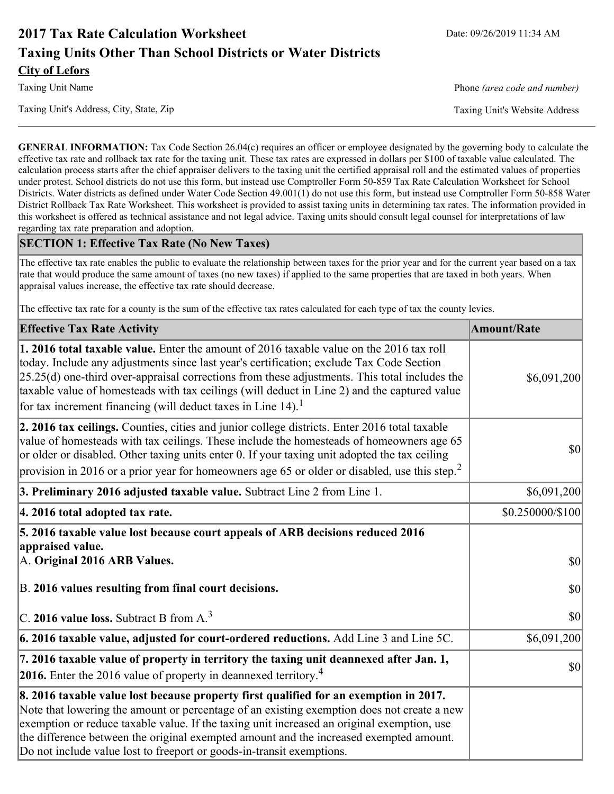# **2017 Tax Rate Calculation Worksheet** Date: 09/26/2019 11:34 AM **Taxing Units Other Than School Districts or Water Districts City of Lefors**

Taxing Unit Name **Phone** *(area code and number)* Phone *(area code and number)* 

Taxing Unit's Address, City, State, Zip Taxing Unit's Website Address

**GENERAL INFORMATION:** Tax Code Section 26.04(c) requires an officer or employee designated by the governing body to calculate the effective tax rate and rollback tax rate for the taxing unit. These tax rates are expressed in dollars per \$100 of taxable value calculated. The calculation process starts after the chief appraiser delivers to the taxing unit the certified appraisal roll and the estimated values of properties under protest. School districts do not use this form, but instead use Comptroller Form 50-859 Tax Rate Calculation Worksheet for School Districts. Water districts as defined under Water Code Section 49.001(1) do not use this form, but instead use Comptroller Form 50-858 Water District Rollback Tax Rate Worksheet. This worksheet is provided to assist taxing units in determining tax rates. The information provided in this worksheet is offered as technical assistance and not legal advice. Taxing units should consult legal counsel for interpretations of law regarding tax rate preparation and adoption.

### **SECTION 1: Effective Tax Rate (No New Taxes)**

The effective tax rate enables the public to evaluate the relationship between taxes for the prior year and for the current year based on a tax rate that would produce the same amount of taxes (no new taxes) if applied to the same properties that are taxed in both years. When appraisal values increase, the effective tax rate should decrease.

The effective tax rate for a county is the sum of the effective tax rates calculated for each type of tax the county levies.

| <b>Effective Tax Rate Activity</b>                                                                                                                                                                                                                                                                                                                                                                                                                                             | <b>Amount/Rate</b> |
|--------------------------------------------------------------------------------------------------------------------------------------------------------------------------------------------------------------------------------------------------------------------------------------------------------------------------------------------------------------------------------------------------------------------------------------------------------------------------------|--------------------|
| <b>1. 2016 total taxable value.</b> Enter the amount of 2016 taxable value on the 2016 tax roll<br>today. Include any adjustments since last year's certification; exclude Tax Code Section<br>$[25.25(d)$ one-third over-appraisal corrections from these adjustments. This total includes the<br>taxable value of homesteads with tax ceilings (will deduct in Line 2) and the captured value<br>for tax increment financing (will deduct taxes in Line $14$ ). <sup>1</sup> | \$6,091,200        |
| 2. 2016 tax ceilings. Counties, cities and junior college districts. Enter 2016 total taxable<br>value of homesteads with tax ceilings. These include the homesteads of homeowners age 65<br>or older or disabled. Other taxing units enter 0. If your taxing unit adopted the tax ceiling<br>provision in 2016 or a prior year for homeowners age 65 or older or disabled, use this step. <sup>2</sup>                                                                        | 30                 |
| 3. Preliminary 2016 adjusted taxable value. Subtract Line 2 from Line 1.                                                                                                                                                                                                                                                                                                                                                                                                       | \$6,091,200        |
| 4. 2016 total adopted tax rate.                                                                                                                                                                                                                                                                                                                                                                                                                                                | \$0.250000/\$100   |
| 5. 2016 taxable value lost because court appeals of ARB decisions reduced 2016<br>appraised value.<br>A. Original 2016 ARB Values.                                                                                                                                                                                                                                                                                                                                             | $ 10\rangle$       |
| B. 2016 values resulting from final court decisions.                                                                                                                                                                                                                                                                                                                                                                                                                           | 30                 |
| C. 2016 value loss. Subtract B from $A3$                                                                                                                                                                                                                                                                                                                                                                                                                                       | 30                 |
| 6. 2016 taxable value, adjusted for court-ordered reductions. Add Line 3 and Line 5C.                                                                                                                                                                                                                                                                                                                                                                                          | \$6,091,200        |
| 7. 2016 taxable value of property in territory the taxing unit deannexed after Jan. 1,<br><b>2016.</b> Enter the 2016 value of property in deannexed territory. <sup>4</sup>                                                                                                                                                                                                                                                                                                   | $ 10\rangle$       |
| 8. 2016 taxable value lost because property first qualified for an exemption in 2017.<br>Note that lowering the amount or percentage of an existing exemption does not create a new<br>exemption or reduce taxable value. If the taxing unit increased an original exemption, use<br>the difference between the original exempted amount and the increased exempted amount.<br>Do not include value lost to freeport or goods-in-transit exemptions.                           |                    |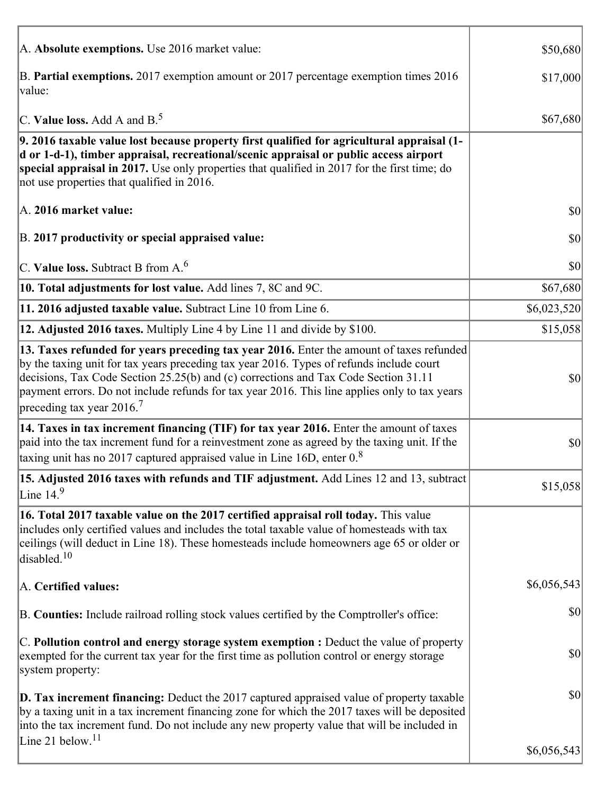| A. Absolute exemptions. Use 2016 market value:                                                                                                                                                                                                                                                                                                                                                                         | \$50,680     |
|------------------------------------------------------------------------------------------------------------------------------------------------------------------------------------------------------------------------------------------------------------------------------------------------------------------------------------------------------------------------------------------------------------------------|--------------|
| B. Partial exemptions. 2017 exemption amount or 2017 percentage exemption times 2016<br>value:                                                                                                                                                                                                                                                                                                                         | \$17,000     |
| C. Value loss. Add A and $B^5$                                                                                                                                                                                                                                                                                                                                                                                         | \$67,680     |
| 9. 2016 taxable value lost because property first qualified for agricultural appraisal (1-<br>d or 1-d-1), timber appraisal, recreational/scenic appraisal or public access airport<br>special appraisal in 2017. Use only properties that qualified in 2017 for the first time; do<br>not use properties that qualified in 2016.                                                                                      |              |
| A. 2016 market value:                                                                                                                                                                                                                                                                                                                                                                                                  | $ 10\rangle$ |
| B. 2017 productivity or special appraised value:                                                                                                                                                                                                                                                                                                                                                                       | \$0          |
| $\vert$ C. Value loss. Subtract B from A. $^6$                                                                                                                                                                                                                                                                                                                                                                         | \$0          |
| 10. Total adjustments for lost value. Add lines 7, 8C and 9C.                                                                                                                                                                                                                                                                                                                                                          | \$67,680     |
| 11. 2016 adjusted taxable value. Subtract Line 10 from Line 6.                                                                                                                                                                                                                                                                                                                                                         | \$6,023,520  |
| 12. Adjusted 2016 taxes. Multiply Line 4 by Line 11 and divide by \$100.                                                                                                                                                                                                                                                                                                                                               | \$15,058     |
| 13. Taxes refunded for years preceding tax year 2016. Enter the amount of taxes refunded<br>by the taxing unit for tax years preceding tax year 2016. Types of refunds include court<br>decisions, Tax Code Section 25.25(b) and (c) corrections and Tax Code Section 31.11<br>payment errors. Do not include refunds for tax year 2016. This line applies only to tax years<br>preceding tax year $2016$ <sup>7</sup> | \$0          |
| 14. Taxes in tax increment financing (TIF) for tax year 2016. Enter the amount of taxes<br>paid into the tax increment fund for a reinvestment zone as agreed by the taxing unit. If the<br>taxing unit has no 2017 captured appraised value in Line 16D, enter $0.8$                                                                                                                                                  | \$0          |
| 15. Adjusted 2016 taxes with refunds and TIF adjustment. Add Lines 12 and 13, subtract<br>Line $14.9$                                                                                                                                                                                                                                                                                                                  | \$15,058     |
| 16. Total 2017 taxable value on the 2017 certified appraisal roll today. This value<br>includes only certified values and includes the total taxable value of homesteads with tax<br>ceilings (will deduct in Line 18). These homesteads include homeowners age 65 or older or<br>disabled. $10$                                                                                                                       |              |
| A. Certified values:                                                                                                                                                                                                                                                                                                                                                                                                   | \$6,056,543  |
| B. Counties: Include railroad rolling stock values certified by the Comptroller's office:                                                                                                                                                                                                                                                                                                                              | \$0          |
| C. Pollution control and energy storage system exemption : Deduct the value of property<br>exempted for the current tax year for the first time as pollution control or energy storage<br>system property:                                                                                                                                                                                                             | \$0          |
| <b>D. Tax increment financing:</b> Deduct the 2017 captured appraised value of property taxable<br>by a taxing unit in a tax increment financing zone for which the 2017 taxes will be deposited<br>into the tax increment fund. Do not include any new property value that will be included in                                                                                                                        | \$0          |
| Line 21 below. <sup>11</sup>                                                                                                                                                                                                                                                                                                                                                                                           | \$6,056,543  |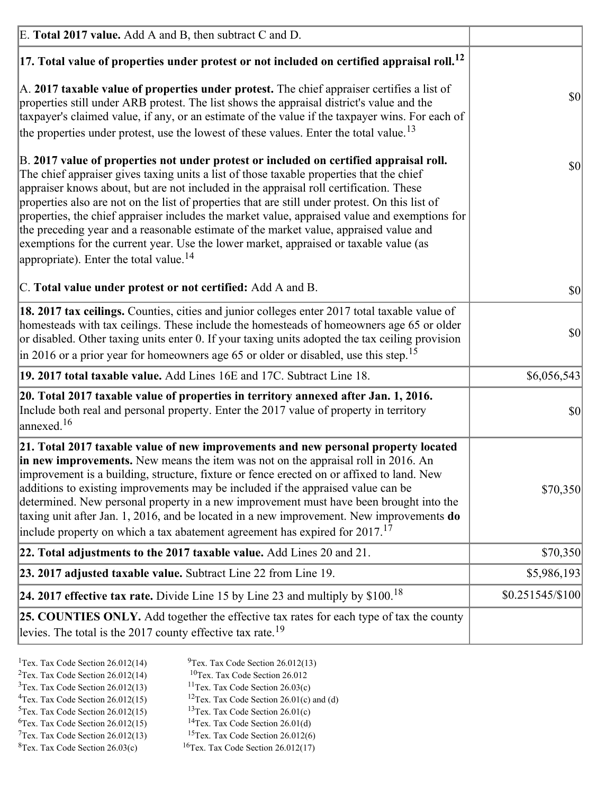| E. Total 2017 value. Add A and B, then subtract C and D.                                                                                                                                                                                                                                                                                                                                                                                                                                                                                                                                                                                                                                                                 |                   |
|--------------------------------------------------------------------------------------------------------------------------------------------------------------------------------------------------------------------------------------------------------------------------------------------------------------------------------------------------------------------------------------------------------------------------------------------------------------------------------------------------------------------------------------------------------------------------------------------------------------------------------------------------------------------------------------------------------------------------|-------------------|
| $ 17$ . Total value of properties under protest or not included on certified appraisal roll. <sup>12</sup>                                                                                                                                                                                                                                                                                                                                                                                                                                                                                                                                                                                                               |                   |
| A. 2017 taxable value of properties under protest. The chief appraiser certifies a list of<br>properties still under ARB protest. The list shows the appraisal district's value and the<br>taxpayer's claimed value, if any, or an estimate of the value if the taxpayer wins. For each of<br>the properties under protest, use the lowest of these values. Enter the total value. <sup>13</sup>                                                                                                                                                                                                                                                                                                                         | \$0               |
| B. 2017 value of properties not under protest or included on certified appraisal roll.<br>The chief appraiser gives taxing units a list of those taxable properties that the chief<br>appraiser knows about, but are not included in the appraisal roll certification. These<br>properties also are not on the list of properties that are still under protest. On this list of<br>properties, the chief appraiser includes the market value, appraised value and exemptions for<br>the preceding year and a reasonable estimate of the market value, appraised value and<br>exemptions for the current year. Use the lower market, appraised or taxable value (as<br>appropriate). Enter the total value. <sup>14</sup> | <b>\$0</b>        |
| C. Total value under protest or not certified: Add A and B.                                                                                                                                                                                                                                                                                                                                                                                                                                                                                                                                                                                                                                                              | $ 10\rangle$      |
| 18. 2017 tax ceilings. Counties, cities and junior colleges enter 2017 total taxable value of<br>homesteads with tax ceilings. These include the homesteads of homeowners age 65 or older<br>or disabled. Other taxing units enter 0. If your taxing units adopted the tax ceiling provision<br>$\vert$ in 2016 or a prior year for homeowners age 65 or older or disabled, use this step. <sup>15</sup>                                                                                                                                                                                                                                                                                                                 | \$0               |
| 19. 2017 total taxable value. Add Lines 16E and 17C. Subtract Line 18.                                                                                                                                                                                                                                                                                                                                                                                                                                                                                                                                                                                                                                                   | \$6,056,543       |
| 20. Total 2017 taxable value of properties in territory annexed after Jan. 1, 2016.<br>Include both real and personal property. Enter the 2017 value of property in territory<br>$\vert$ annexed. <sup>16</sup>                                                                                                                                                                                                                                                                                                                                                                                                                                                                                                          | $ 10\rangle$      |
| 21. Total 2017 taxable value of new improvements and new personal property located<br>in new improvements. New means the item was not on the appraisal roll in 2016. An<br>improvement is a building, structure, fixture or fence erected on or affixed to land. New<br>additions to existing improvements may be included if the appraised value can be<br>determined. New personal property in a new improvement must have been brought into the<br>taxing unit after Jan. 1, 2016, and be located in a new improvement. New improvements do<br>include property on which a tax abatement agreement has expired for $2017$ . <sup>17</sup>                                                                             | \$70,350          |
| 22. Total adjustments to the 2017 taxable value. Add Lines 20 and 21.                                                                                                                                                                                                                                                                                                                                                                                                                                                                                                                                                                                                                                                    | \$70,350          |
| 23. 2017 adjusted taxable value. Subtract Line 22 from Line 19.                                                                                                                                                                                                                                                                                                                                                                                                                                                                                                                                                                                                                                                          | \$5,986,193       |
| 24. 2017 effective tax rate. Divide Line 15 by Line 23 and multiply by $$100$ . <sup>18</sup>                                                                                                                                                                                                                                                                                                                                                                                                                                                                                                                                                                                                                            | $$0.251545/\$100$ |
| 25. COUNTIES ONLY. Add together the effective tax rates for each type of tax the county<br>levies. The total is the 2017 county effective tax rate. <sup>19</sup>                                                                                                                                                                                                                                                                                                                                                                                                                                                                                                                                                        |                   |

- <sup>2</sup>Tex. Tax Code Section 26.012(14)
- <sup>1</sup>Tex. Tax Code Section 26.012(14) <sup>9</sup>Tex. Tax Code Section 26.012(13) <sup>9</sup>Tex. Tax Code Section 26.012
	-
- <sup>3</sup>Tex. Tax Code Section 26.012(13) <sup>11</sup>Tex. Tax Code Section 26.03(c) <sup>4</sup>Tex. Tax Code Section 26.01(c) and <sup>12</sup>Tex. Tax Code Section 26.01(c) and <sup>12</sup>Tex. Tax Code Section 26.01(c) and <sup>12</sup>Tex. Tax Code Section 26.01(c)
	- <sup>12</sup>Tex. Tax Code Section 26.01(c) and (d)
- 
- <sup>5</sup>Tex. Tax Code Section 26.012(15) <sup>13</sup>Tex. Tax Code Section 26.01(c) <sup>6</sup>Tex. Tax Code Section 26.01(d) <sup>6</sup>Tex. Tax Code Section 26.012(15) <sup>14</sup>Tex. Tax Code Section 26.01(d)<sup>7</sup>Tex. Tax Code Section 26.012(6)
- $7$ Tex. Tax Code Section 26.012(13)
- 
- 
- ${}^{8}$ Tex. Tax Code Section 26.03(c)  ${}^{16}$ Tex. Tax Code Section 26.012(17)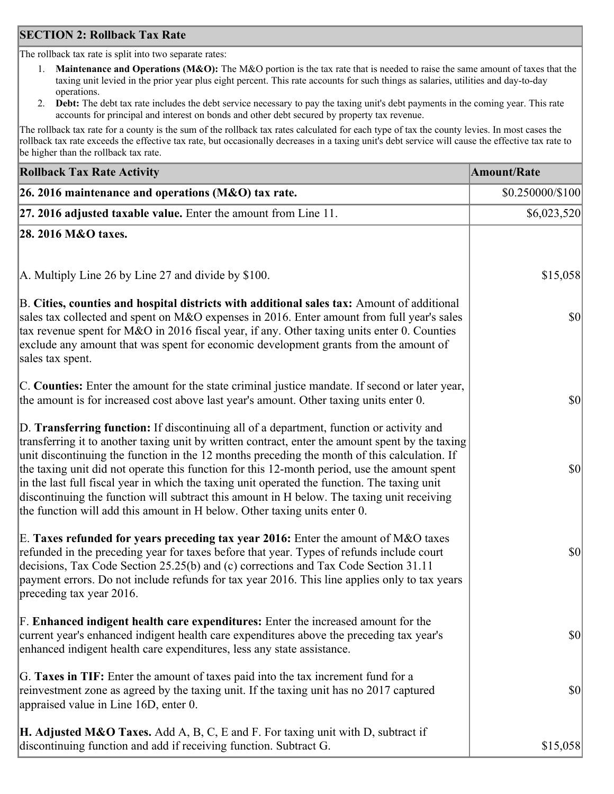### **SECTION 2: Rollback Tax Rate**

The rollback tax rate is split into two separate rates:

- 1. **Maintenance and Operations (M&O):** The M&O portion is the tax rate that is needed to raise the same amount of taxes that the taxing unit levied in the prior year plus eight percent. This rate accounts for such things as salaries, utilities and day-to-day operations.
- 2. **Debt:** The debt tax rate includes the debt service necessary to pay the taxing unit's debt payments in the coming year. This rate accounts for principal and interest on bonds and other debt secured by property tax revenue.

The rollback tax rate for a county is the sum of the rollback tax rates calculated for each type of tax the county levies. In most cases the rollback tax rate exceeds the effective tax rate, but occasionally decreases in a taxing unit's debt service will cause the effective tax rate to be higher than the rollback tax rate.

| <b>Rollback Tax Rate Activity</b>                                                                                                                                                                                                                                                                                                                                                                                                                                                                                                                                                                                                                                       | Amount/Rate            |
|-------------------------------------------------------------------------------------------------------------------------------------------------------------------------------------------------------------------------------------------------------------------------------------------------------------------------------------------------------------------------------------------------------------------------------------------------------------------------------------------------------------------------------------------------------------------------------------------------------------------------------------------------------------------------|------------------------|
| 26. 2016 maintenance and operations (M&O) tax rate.                                                                                                                                                                                                                                                                                                                                                                                                                                                                                                                                                                                                                     | $$0.250000 \times 100$ |
| $ 27.2016$ adjusted taxable value. Enter the amount from Line 11.                                                                                                                                                                                                                                                                                                                                                                                                                                                                                                                                                                                                       | \$6,023,520            |
| 28. 2016 M&O taxes.                                                                                                                                                                                                                                                                                                                                                                                                                                                                                                                                                                                                                                                     |                        |
| A. Multiply Line 26 by Line 27 and divide by \$100.                                                                                                                                                                                                                                                                                                                                                                                                                                                                                                                                                                                                                     | \$15,058               |
| B. Cities, counties and hospital districts with additional sales tax: Amount of additional<br>sales tax collected and spent on M&O expenses in 2016. Enter amount from full year's sales<br>tax revenue spent for M&O in 2016 fiscal year, if any. Other taxing units enter 0. Counties<br>exclude any amount that was spent for economic development grants from the amount of<br>sales tax spent.                                                                                                                                                                                                                                                                     | 30                     |
| C. Counties: Enter the amount for the state criminal justice mandate. If second or later year,<br>the amount is for increased cost above last year's amount. Other taxing units enter 0.                                                                                                                                                                                                                                                                                                                                                                                                                                                                                | 30                     |
| D. Transferring function: If discontinuing all of a department, function or activity and<br>transferring it to another taxing unit by written contract, enter the amount spent by the taxing<br>unit discontinuing the function in the 12 months preceding the month of this calculation. If<br>the taxing unit did not operate this function for this 12-month period, use the amount spent<br>in the last full fiscal year in which the taxing unit operated the function. The taxing unit<br>discontinuing the function will subtract this amount in H below. The taxing unit receiving<br>the function will add this amount in H below. Other taxing units enter 0. | \$0                    |
| E. Taxes refunded for years preceding tax year 2016: Enter the amount of M&O taxes<br>refunded in the preceding year for taxes before that year. Types of refunds include court<br>decisions, Tax Code Section 25.25(b) and (c) corrections and Tax Code Section 31.11<br>payment errors. Do not include refunds for tax year 2016. This line applies only to tax years<br>preceding tax year 2016.                                                                                                                                                                                                                                                                     | \$0                    |
| F. Enhanced indigent health care expenditures: Enter the increased amount for the<br>current year's enhanced indigent health care expenditures above the preceding tax year's<br>enhanced indigent health care expenditures, less any state assistance.                                                                                                                                                                                                                                                                                                                                                                                                                 | $ 10\rangle$           |
| G. Taxes in TIF: Enter the amount of taxes paid into the tax increment fund for a<br>reinvestment zone as agreed by the taxing unit. If the taxing unit has no 2017 captured<br>appraised value in Line 16D, enter 0.                                                                                                                                                                                                                                                                                                                                                                                                                                                   | $ 10\rangle$           |
| <b>H. Adjusted M&amp;O Taxes.</b> Add A, B, C, E and F. For taxing unit with D, subtract if<br>discontinuing function and add if receiving function. Subtract G.                                                                                                                                                                                                                                                                                                                                                                                                                                                                                                        | \$15,058               |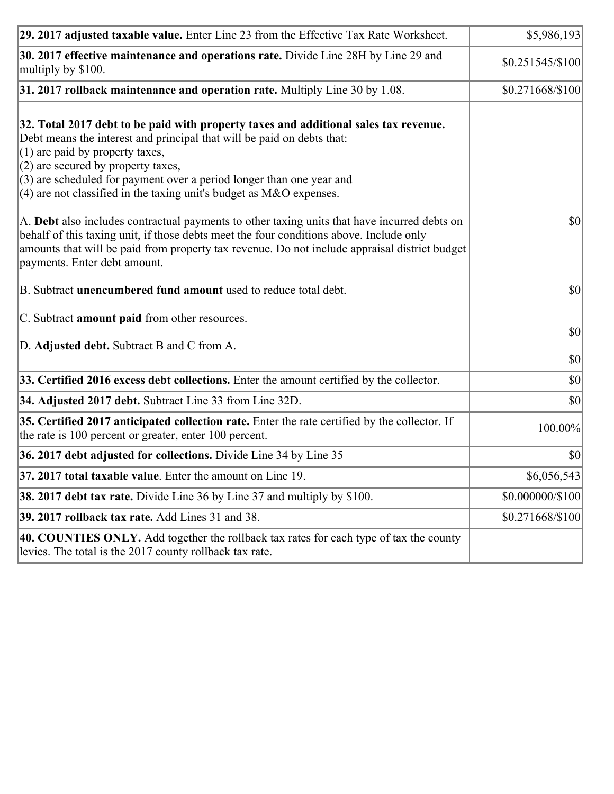| 29. 2017 adjusted taxable value. Enter Line 23 from the Effective Tax Rate Worksheet.                                                                                                                                                                                                                                                                                                          | \$5,986,193                  |
|------------------------------------------------------------------------------------------------------------------------------------------------------------------------------------------------------------------------------------------------------------------------------------------------------------------------------------------------------------------------------------------------|------------------------------|
| 30. 2017 effective maintenance and operations rate. Divide Line 28H by Line 29 and<br>multiply by \$100.                                                                                                                                                                                                                                                                                       | \$0.251545/\$100             |
| $31.2017$ rollback maintenance and operation rate. Multiply Line 30 by 1.08.                                                                                                                                                                                                                                                                                                                   | \$0.271668/\$100]            |
| 32. Total 2017 debt to be paid with property taxes and additional sales tax revenue.<br>Debt means the interest and principal that will be paid on debts that:<br>$(1)$ are paid by property taxes,<br>$(2)$ are secured by property taxes,<br>$(3)$ are scheduled for payment over a period longer than one year and<br>$(4)$ are not classified in the taxing unit's budget as M&O expenses. |                              |
| A. Debt also includes contractual payments to other taxing units that have incurred debts on<br>behalf of this taxing unit, if those debts meet the four conditions above. Include only<br>amounts that will be paid from property tax revenue. Do not include appraisal district budget<br>payments. Enter debt amount.                                                                       | 30                           |
| B. Subtract unencumbered fund amount used to reduce total debt.                                                                                                                                                                                                                                                                                                                                | \$0                          |
| C. Subtract amount paid from other resources.                                                                                                                                                                                                                                                                                                                                                  |                              |
| D. Adjusted debt. Subtract B and C from A.                                                                                                                                                                                                                                                                                                                                                     | $ 10\rangle$<br>$ 10\rangle$ |
| 33. Certified 2016 excess debt collections. Enter the amount certified by the collector.                                                                                                                                                                                                                                                                                                       | $ 10\rangle$                 |
| 34. Adjusted 2017 debt. Subtract Line 33 from Line 32D.                                                                                                                                                                                                                                                                                                                                        | \$0                          |
| 35. Certified 2017 anticipated collection rate. Enter the rate certified by the collector. If<br>the rate is 100 percent or greater, enter 100 percent.                                                                                                                                                                                                                                        | 100.00%                      |
| 36. 2017 debt adjusted for collections. Divide Line 34 by Line 35                                                                                                                                                                                                                                                                                                                              | $ 10\rangle$                 |
| $37.2017$ total taxable value. Enter the amount on Line 19.                                                                                                                                                                                                                                                                                                                                    | \$6,056,543                  |
| <b>38. 2017 debt tax rate.</b> Divide Line 36 by Line 37 and multiply by \$100.                                                                                                                                                                                                                                                                                                                | \$0.000000/\$100             |
| <b>39. 2017 rollback tax rate.</b> Add Lines 31 and 38.                                                                                                                                                                                                                                                                                                                                        | \$0.271668/\$100             |
| 40. COUNTIES ONLY. Add together the rollback tax rates for each type of tax the county<br>levies. The total is the 2017 county rollback tax rate.                                                                                                                                                                                                                                              |                              |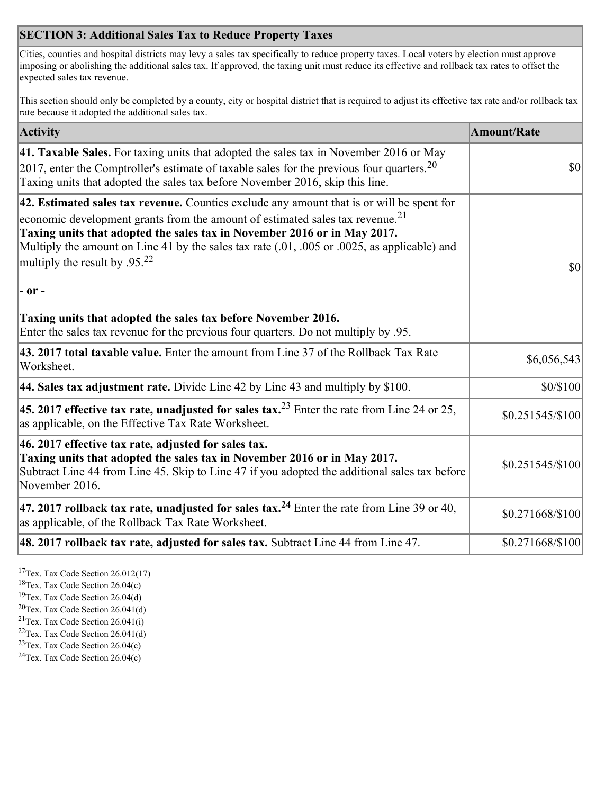# **SECTION 3: Additional Sales Tax to Reduce Property Taxes**

Cities, counties and hospital districts may levy a sales tax specifically to reduce property taxes. Local voters by election must approve imposing or abolishing the additional sales tax. If approved, the taxing unit must reduce its effective and rollback tax rates to offset the expected sales tax revenue.

This section should only be completed by a county, city or hospital district that is required to adjust its effective tax rate and/or rollback tax rate because it adopted the additional sales tax.

| <b>Activity</b>                                                                                                                                                                                                                                                                                                                                                                                                 | <b>Amount/Rate</b> |
|-----------------------------------------------------------------------------------------------------------------------------------------------------------------------------------------------------------------------------------------------------------------------------------------------------------------------------------------------------------------------------------------------------------------|--------------------|
| 41. Taxable Sales. For taxing units that adopted the sales tax in November 2016 or May<br>[2017, enter the Comptroller's estimate of taxable sales for the previous four quarters. <sup>20</sup><br>Taxing units that adopted the sales tax before November 2016, skip this line.                                                                                                                               | $\vert$ so $\vert$ |
| 42. Estimated sales tax revenue. Counties exclude any amount that is or will be spent for<br>economic development grants from the amount of estimated sales tax revenue. <sup>21</sup><br>Taxing units that adopted the sales tax in November 2016 or in May 2017.<br>Multiply the amount on Line 41 by the sales tax rate (.01, .005 or .0025, as applicable) and<br>multiply the result by .95. <sup>22</sup> | \$0                |
| $ -$ or $-$                                                                                                                                                                                                                                                                                                                                                                                                     |                    |
| Taxing units that adopted the sales tax before November 2016.<br>Enter the sales tax revenue for the previous four quarters. Do not multiply by .95.                                                                                                                                                                                                                                                            |                    |
| 43. 2017 total taxable value. Enter the amount from Line 37 of the Rollback Tax Rate<br>Worksheet.                                                                                                                                                                                                                                                                                                              | \$6,056,543        |
| 44. Sales tax adjustment rate. Divide Line 42 by Line 43 and multiply by $$100$ .                                                                                                                                                                                                                                                                                                                               | \$0/\$100          |
| 45. 2017 effective tax rate, unadjusted for sales tax. <sup>23</sup> Enter the rate from Line 24 or 25,<br>as applicable, on the Effective Tax Rate Worksheet.                                                                                                                                                                                                                                                  | $$0.251545/\$100$  |
| 46. 2017 effective tax rate, adjusted for sales tax.<br>Taxing units that adopted the sales tax in November 2016 or in May 2017.<br>Subtract Line 44 from Line 45. Skip to Line 47 if you adopted the additional sales tax before<br>November 2016.                                                                                                                                                             | \$0.251545/\$100   |
| 47. 2017 rollback tax rate, unadjusted for sales tax. <sup>24</sup> Enter the rate from Line 39 or 40,<br>as applicable, of the Rollback Tax Rate Worksheet.                                                                                                                                                                                                                                                    | \$0.271668/\$100   |
| $ 48.2017$ rollback tax rate, adjusted for sales tax. Subtract Line 44 from Line 47.                                                                                                                                                                                                                                                                                                                            | \$0.271668/\$100   |

<sup>17</sup>Tex. Tax Code Section 26.012(17)

<sup>18</sup>Tex. Tax Code Section 26.04(c)

<sup>19</sup>Tex. Tax Code Section 26.04(d)

<sup>20</sup>Tex. Tax Code Section 26.041(d)

- $21$ Tex. Tax Code Section 26.041(i)
- <sup>22</sup>Tex. Tax Code Section 26.041(d)
- <sup>23</sup>Tex. Tax Code Section  $26.04(c)$

<sup>24</sup>Tex. Tax Code Section  $26.04(c)$